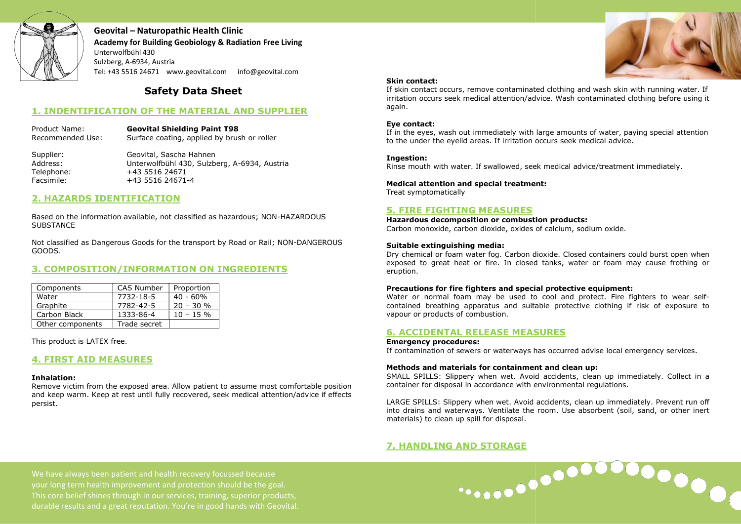

Geovital – Naturopathic Health Clinic Academy for Building Geobiology & Radiation Free Living Unterwolfbühl 430 Sulzberg, A-6934, Austria Tel: +43 5516 24671 www.geovital.com info@geovital.com @geovital.com

# Safety Data Sheet

# 1. INDENTIFICATION OF THE MATERIAL AND SUPPLIER

Product Name: Geovital Shielding Paint T98 Recommended Use: Surface coating, applied by brush or roller

Supplier: Geovital, Sascha Hahnen<br>Address: Unterwolfbühl 430. Sulzb Unterwolfbühl 430, Sulzberg, A-6934, Austria Telephone: +43 5516 24671 Facsimile: +43 5516 24671-4

## 2. HAZARDS IDENTIFICATION

Based on the information available, not classified as hazardous; NON **SUBSTANCE** 

Not classified as Dangerous Goods for the transport by Road or Rail; NON NON-DANGEROUS GOODS.

# 3. COMPOSITION/INFORMATION ON INGREDIENTS

| Components       | CAS Number   | Proportion  |
|------------------|--------------|-------------|
| Water            | 7732-18-5    | $40 - 60%$  |
| Graphite         | 7782-42-5    | $20 - 30 %$ |
| Carbon Black     | 1333-86-4    | $10 - 15 %$ |
| Other components | Trade secret |             |

This product is LATEX free.

# 4. FIRST AID MEASURES

### Inhalation:

Remove victim from the exposed area. Allow patient to assume most comfortable position and keep warm. Keep at rest until fully recovered, seek medical attention/advice if effects persist.



 $\begin{array}{c} \bullet\bullet\bullet\bullet\bullet\end{array}$ 

### Skin contact:

If skin contact occurs, remove contaminated clothing and wash skin with running water. If irritation occurs seek medical attention/advice. Wash contaminated clothing before using it again.

### Eye contact:

If in the eyes, wash out immediately with large amounts of water, paying special attention to the under the eyelid areas. If irritation occurs seek medical advice.

### Ingestion:

Rinse mouth with water. If swallowed, seek medical advice/treatment immediately.

### Medical attention and special treatment:

Treat symptomatically

### 5. FIRE FIGHTING MEASURES

Hazardous decomposition or combustion products: Carbon monoxide, carbon dioxide, oxides of calcium, sodium oxide.

### Suitable extinguishing media:

Dry chemical or foam water fog. Carbon dioxide. Closed containers could burst open when exposed to great heat or fire. In closed tanks, water or foam may cause frothing or eruption.

### Precautions for fire fighters and special protective equipment:

Water or normal foam may be used to cool and protect. Fire fighters to wear selfcontained breathing apparatus and suitable protective clothing if risk of exposure to vapour or products of combustion. able protective clothing if risk of exposure to<br> **SURES**<br>
has occurred advise local emergency services.<br> **nt and clean up:**<br>
d accidents, clean up immediately. Collect in a

### 6. ACCIDENTAL RELEASE MEASURES

### Emergency procedures:

If contamination of sewers or waterways has occurred advise local emergency services.

### Methods and materials for containment and clean up:

SMALL SPILLS: Slippery when wet. Avoid accidents, clean up immediately. Collect in a container for disposal in accordance with environmental regulations.

LARGE SPILLS: Slippery when wet. Avoid accidents, clean up immediately. Prevent run off into drains and waterways. Ventilate the room. Use absorbent (soil, sand, or other inert materials) to clean up spill for disposal.

# 7. HANDLING AND STORAGE

We have always been patient and health recovery focussed because your long term health improvement and protection should be the goal. This core belief shines through in our services, training, superior products, durable results and a great reputation. You're in good hands with Geovital. ihl 430, Sulzberg, A-6934, Austria<br>
4671-4<br>
4671-4<br>
t classified as hazardous; NON-HAZARDOUS<br>
the transport by Road or Rail; NON-DANGER<br> **TION ON INGREDIENTS**<br>
<u>Proportion<br>
40 - 60%<br>
20 - 30 %<br>
10 - 15 %<br>
.<br>
Allow patient</u>